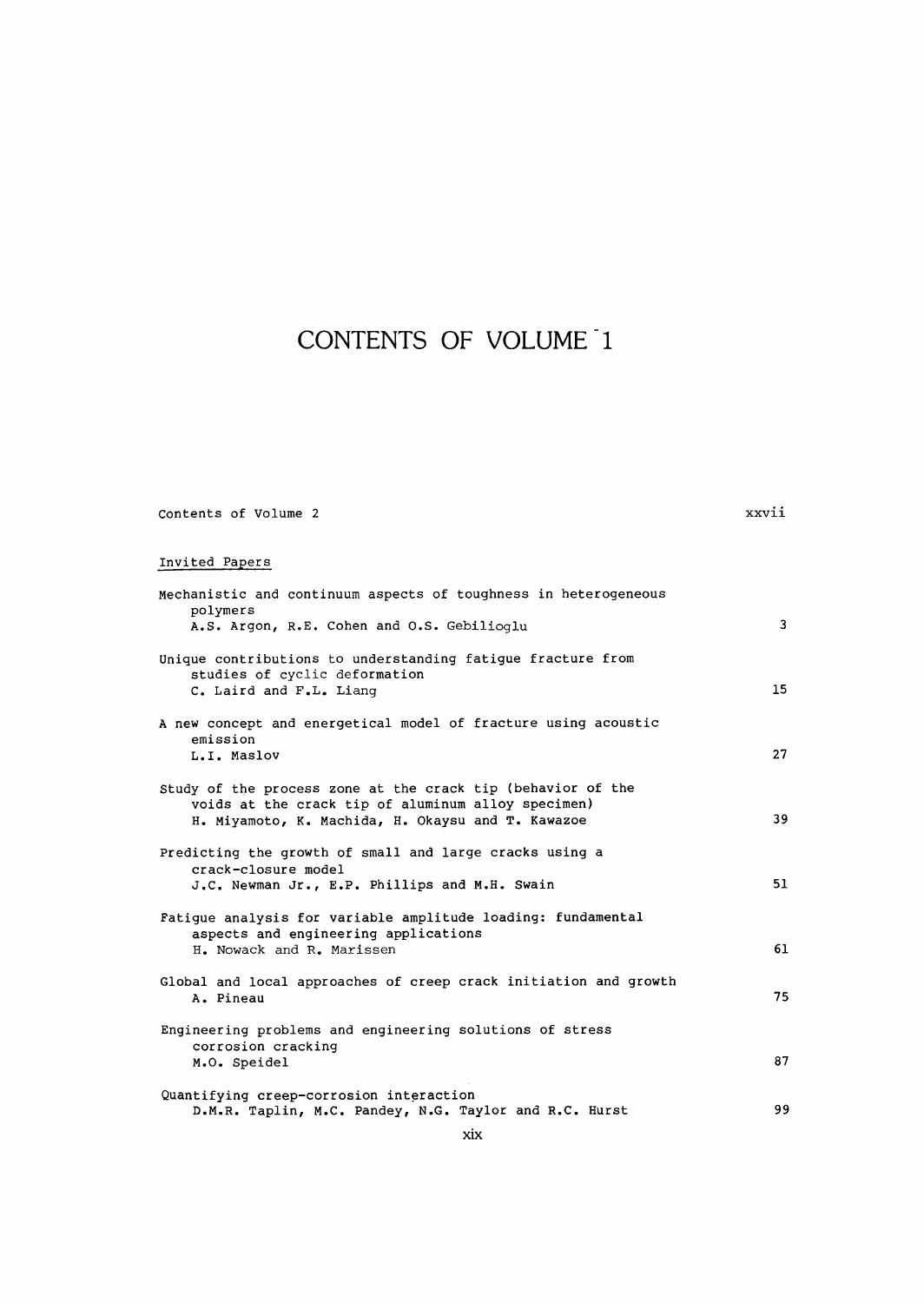## CONTENTS OF VOLUME 1

| Contents of Volume | xxv |
|--------------------|-----|
|--------------------|-----|

## Invited Papers

| Invited Papers                                                                                                                                                         |    |
|------------------------------------------------------------------------------------------------------------------------------------------------------------------------|----|
| Mechanistic and continuum aspects of toughness in heterogeneous<br>polymers<br>A.S. Argon, R.E. Cohen and O.S. Gebilioglu                                              | 3  |
| Unique contributions to understanding fatigue fracture from<br>studies of cyclic deformation<br>C. Laird and F.L. Liang                                                | 15 |
| A new concept and energetical model of fracture using acoustic<br>emission<br>L.I. Maslov                                                                              | 27 |
| Study of the process zone at the crack tip (behavior of the<br>voids at the crack tip of aluminum alloy specimen)<br>H. Miyamoto, K. Machida, H. Okaysu and T. Kawazoe | 39 |
| Predicting the growth of small and large cracks using a<br>crack-closure model<br>J.C. Newman Jr., E.P. Phillips and M.H. Swain                                        | 51 |
| Fatigue analysis for variable amplitude loading: fundamental<br>aspects and engineering applications<br>H. Nowack and R. Marissen                                      | 61 |
| Global and local approaches of creep crack initiation and growth<br>A. Pineau                                                                                          | 75 |
| Engineering problems and engineering solutions of stress<br>corrosion cracking<br>M.O. Speidel                                                                         | 87 |
| Quantifying creep-corrosion interaction<br>D.M.R. Taplin, M.C. Pandey, N.G. Taylor and R.C. Hurst                                                                      | 99 |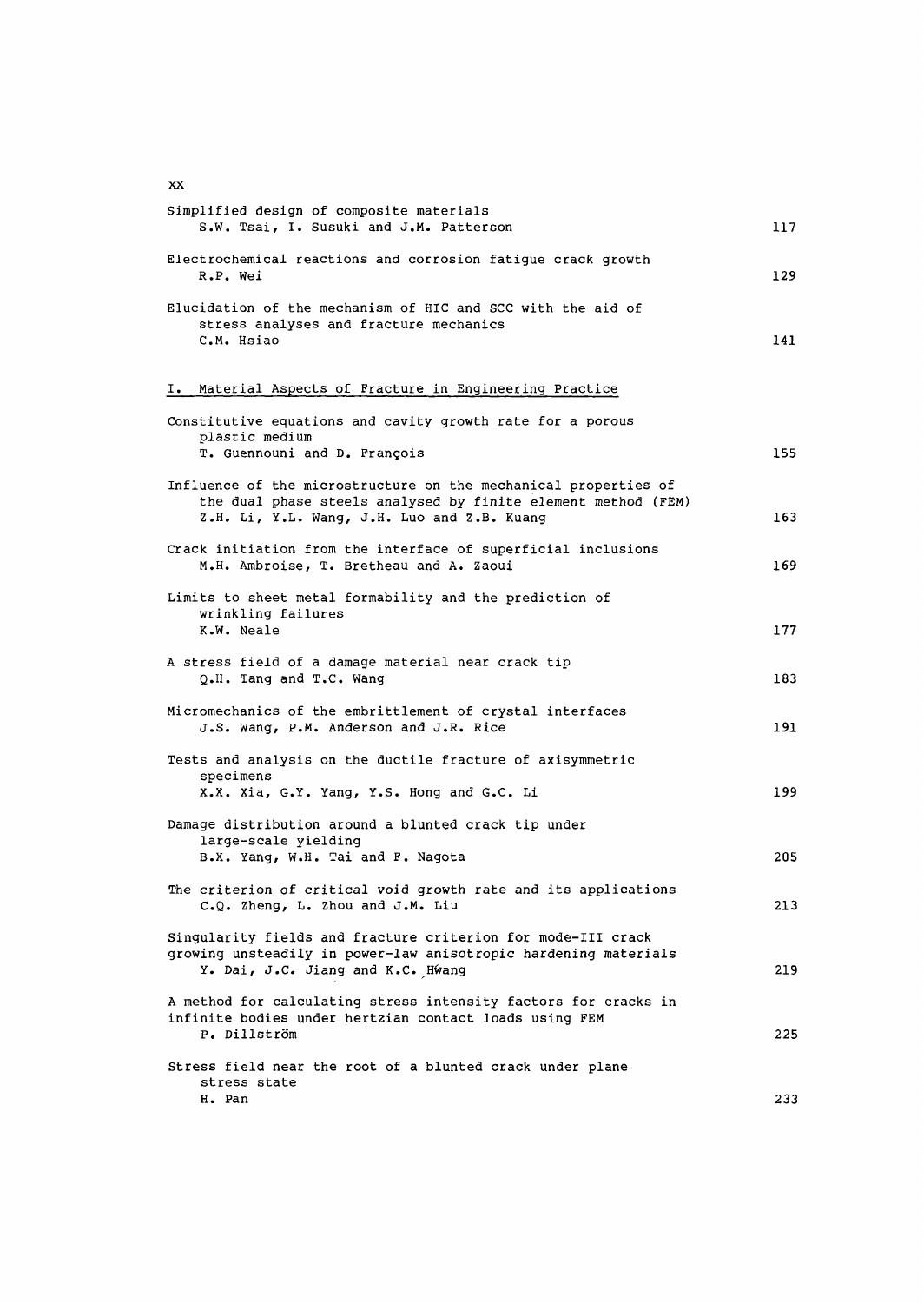Simplified design of composite materials S.W. Tsai, I. Susuki and J.M. Patterson 117 Electrochemical reactions and corrosion fatigue crack growth R.P. Wei 129 Elucidation of the mechanism of HIC and SCC with the aid of stress analyses and fracture mechanics C.M. Hsiao 141 I. Material Aspects of Fracture in Engineering Practice Constitutive equations and cavity growth rate for a porous plastic medium T. Guennouni and D. Francois 155 Influence of the microstructure on the mechanical properties of the dual phase steels analysed by finite element method (FEM) Z.H. Li, Y.L. Wang, J.H. Luo and Z.B. Kuang 163 Crack initiation from the interface of superficial inclusions M.H. Ambroise, T. Bretheau and A. Zaoui 169 Limits to sheet metal formability and the prediction of wrinkling failures K.W. Neale 177 A stress field of a damage material near crack tip Q.H. Tang and T.C. Wang 183 Micromechanics of the embrittlement of crystal interfaces J.S. Wang, P.M. Anderson and J.R. Rice 191 Tests and analysis on the ductile fracture of axisymmetric specimens X.X. Xia, G.Y. Yang, Y.S. Hong and G.C. Li 199 Damage distribution around a blunted crack tip under large-scale yielding B.X. Yang, W.H. Tai and F. Nagota 205 The criterion of critical void growth rate and its applications C.Q. Zheng, L. Zhou and J.M. Liu 213 Singularity fields and fracture criterion for mode-III crack growing unsteadily in power-law anisotropic hardening materials Y. Dai, J.C. Jiang and K.C. Hwang 219 A method for calculating stress intensity factors for cracks in infinite bodies under hertzian contact loads using FEM P. Dillstrom 225 Stress field near the root of a blunted crack under plane stress state H. Pan 233

**xx**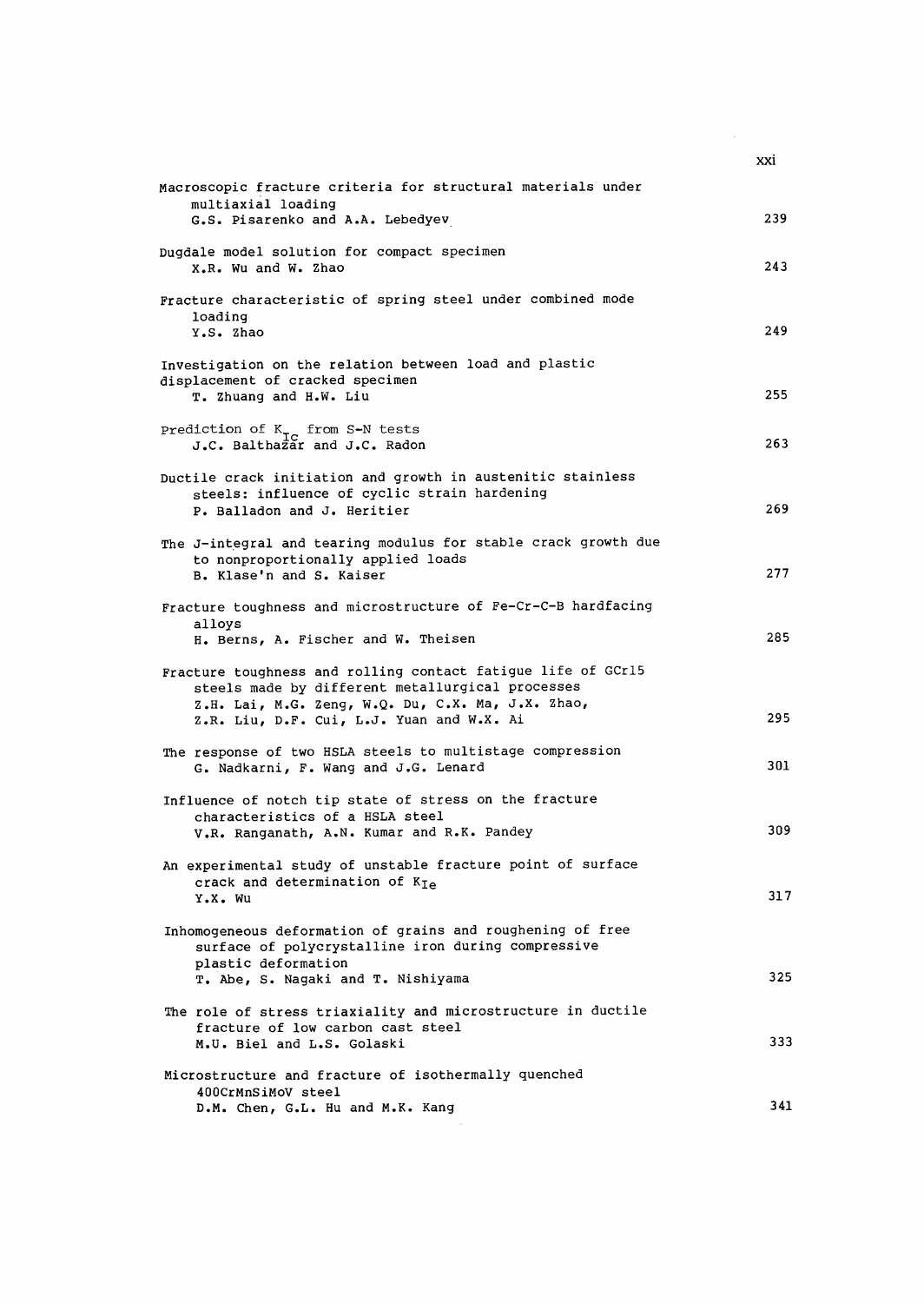|                                                                                                                                                                                                                    | XXİ |
|--------------------------------------------------------------------------------------------------------------------------------------------------------------------------------------------------------------------|-----|
| Macroscopic fracture criteria for structural materials under<br>multiaxial loading                                                                                                                                 |     |
| G.S. Pisarenko and A.A. Lebedyev                                                                                                                                                                                   | 239 |
| Dugdale model solution for compact specimen<br>X.R. Wu and W. Zhao                                                                                                                                                 | 243 |
| Fracture characteristic of spring steel under combined mode<br>loading<br>Y.S. Zhao                                                                                                                                | 249 |
|                                                                                                                                                                                                                    |     |
| Investigation on the relation between load and plastic<br>displacement of cracked specimen<br>T. Zhuang and H.W. Liu                                                                                               | 255 |
| Prediction of $K_{TC}$ from S-N tests<br>J.C. Balthazar and J.C. Radon                                                                                                                                             | 263 |
| Ductile crack initiation and growth in austenitic stainless<br>steels: influence of cyclic strain hardening<br>P. Balladon and J. Heritier                                                                         | 269 |
| The J-integral and tearing modulus for stable crack growth due<br>to nonproportionally applied loads<br>B. Klase'n and S. Kaiser                                                                                   | 277 |
| Fracture toughness and microstructure of Fe-Cr-C-B hardfacing                                                                                                                                                      |     |
| alloys<br>H. Berns, A. Fischer and W. Theisen                                                                                                                                                                      | 285 |
| Fracture toughness and rolling contact fatigue life of GCrl5<br>steels made by different metallurgical processes<br>Z.H. Lai, M.G. Zeng, W.Q. Du, C.X. Ma, J.X. Zhao,<br>Z.R. Liu, D.F. Cui, L.J. Yuan and W.X. Ai | 295 |
|                                                                                                                                                                                                                    |     |
| The response of two HSLA steels to multistage compression<br>G. Nadkarni, F. Wang and J.G. Lenard                                                                                                                  | 301 |
| Influence of notch tip state of stress on the fracture                                                                                                                                                             |     |
| characteristics of a HSLA steel<br>V.R. Ranganath, A.N. Kumar and R.K. Pandey                                                                                                                                      | 309 |
| An experimental study of unstable fracture point of surface<br>crack and determination of $K_{Ie}$<br>Y.X. Wu                                                                                                      | 317 |
|                                                                                                                                                                                                                    |     |
| Inhomogeneous deformation of grains and roughening of free<br>surface of polycrystalline iron during compressive<br>plastic deformation                                                                            |     |
| T. Abe, S. Nagaki and T. Nishiyama                                                                                                                                                                                 | 325 |
| The role of stress triaxiality and microstructure in ductile<br>fracture of low carbon cast steel<br>M.U. Biel and L.S. Golaski                                                                                    | 333 |
|                                                                                                                                                                                                                    |     |
| Microstructure and fracture of isothermally quenched<br>400CrMnSiMoV steel<br>D.M. Chen, G.L. Hu and M.K. Kang                                                                                                     | 341 |
|                                                                                                                                                                                                                    |     |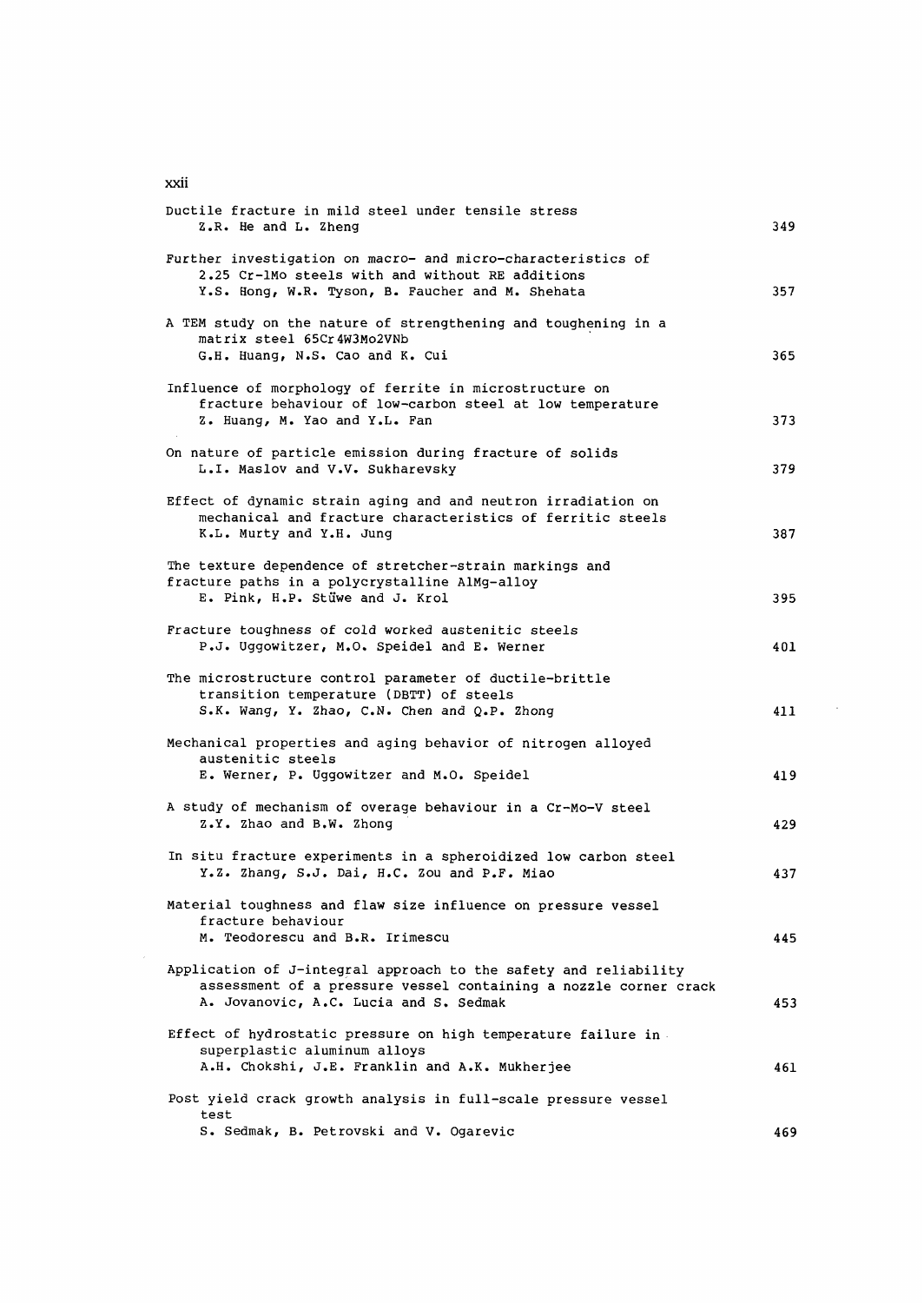| Ductile fracture in mild steel under tensile stress<br>Z.R. He and L. Zheng                                                                                                    | 349 |
|--------------------------------------------------------------------------------------------------------------------------------------------------------------------------------|-----|
| Further investigation on macro- and micro-characteristics of<br>2.25 Cr-1Mo steels with and without RE additions<br>Y.S. Hong, W.R. Tyson, B. Faucher and M. Shehata           | 357 |
| A TEM study on the nature of strengthening and toughening in a<br>matrix steel 65Cr4W3Mo2VNb<br>G.H. Huang, N.S. Cao and K. Cui                                                | 365 |
| Influence of morphology of ferrite in microstructure on<br>fracture behaviour of low-carbon steel at low temperature<br>Z. Huang, M. Yao and Y.L. Fan                          | 373 |
| On nature of particle emission during fracture of solids<br>L.I. Maslov and V.V. Sukharevsky                                                                                   | 379 |
| Effect of dynamic strain aging and and neutron irradiation on<br>mechanical and fracture characteristics of ferritic steels<br>K.L. Murty and Y.H. Jung                        | 387 |
| The texture dependence of stretcher-strain markings and<br>fracture paths in a polycrystalline AlMg-alloy<br>E. Pink, H.P. Stüwe and J. Krol                                   | 395 |
| Fracture toughness of cold worked austenitic steels<br>P.J. Uggowitzer, M.O. Speidel and E. Werner                                                                             | 401 |
| The microstructure control parameter of ductile-brittle<br>transition temperature (DBTT) of steels<br>S.K. Wang, Y. Zhao, C.N. Chen and Q.P. Zhong                             | 411 |
| Mechanical properties and aging behavior of nitrogen alloyed<br>austenitic steels<br>E. Werner, P. Uggowitzer and M.O. Speidel                                                 | 419 |
| A study of mechanism of overage behaviour in a Cr-Mo-V steel<br>Z.Y. Zhao and B.W. Zhong                                                                                       | 429 |
| In situ fracture experiments in a spheroidized low carbon steel<br>Y.Z. Zhang, S.J. Dai, H.C. Zou and P.F. Miao                                                                | 437 |
| Material toughness and flaw size influence on pressure vessel<br>fracture behaviour<br>M. Teodorescu and B.R. Irimescu                                                         | 445 |
| Application of J-integral approach to the safety and reliability<br>assessment of a pressure vessel containing a nozzle corner crack<br>A. Jovanovic, A.C. Lucia and S. Sedmak | 453 |
| Effect of hydrostatic pressure on high temperature failure in.<br>superplastic aluminum alloys<br>A.H. Chokshi, J.E. Franklin and A.K. Mukherjee                               | 461 |
| Post yield crack growth analysis in full-scale pressure vessel<br>test                                                                                                         |     |
| S. Sedmak, B. Petrovski and V. Ogarevic                                                                                                                                        | 469 |

 $\sim 10^{11}$ 

xxii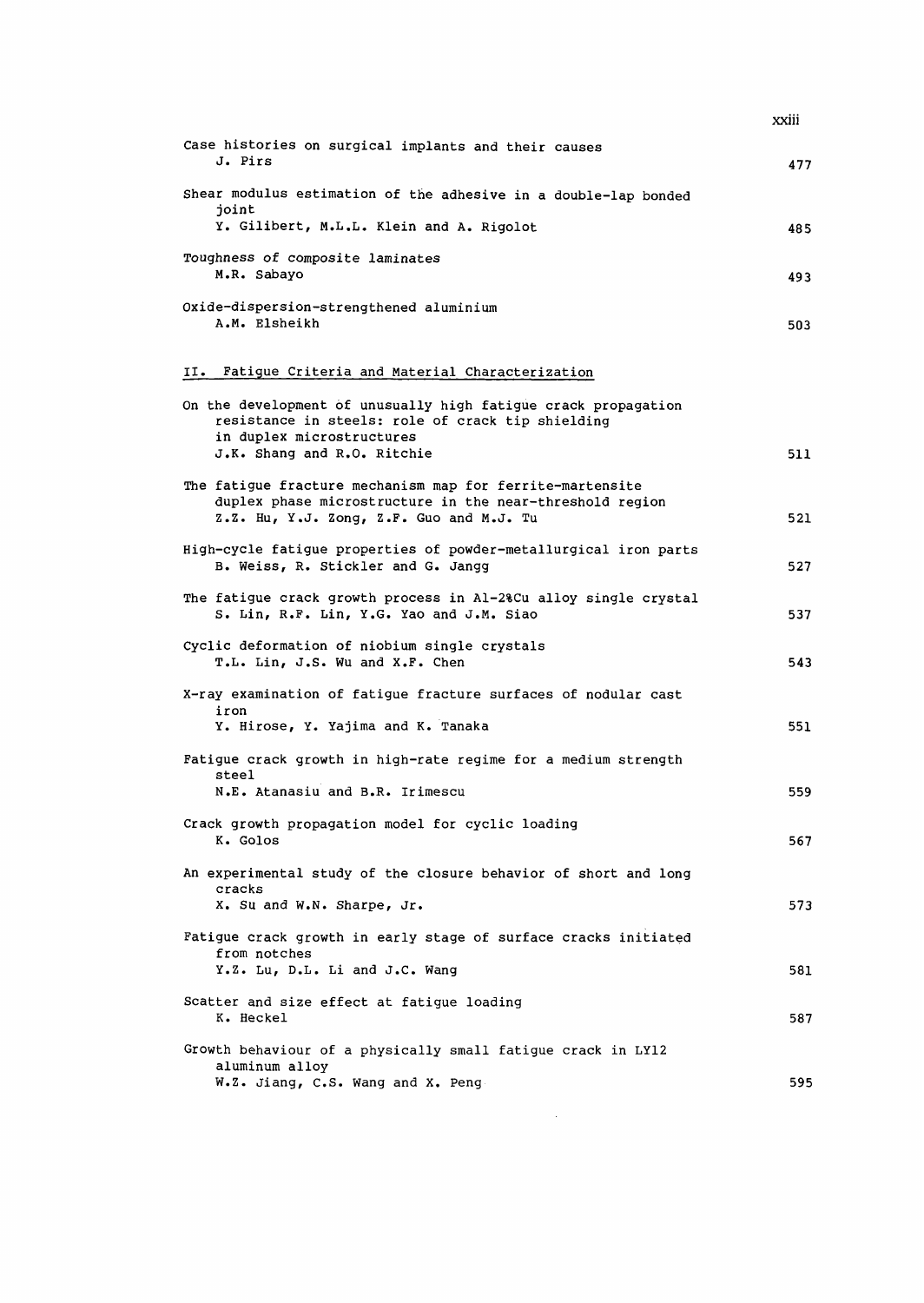|                                                                                                                                                                   | xxiii |
|-------------------------------------------------------------------------------------------------------------------------------------------------------------------|-------|
| Case histories on surgical implants and their causes<br>J. Pirs                                                                                                   | 477   |
| Shear modulus estimation of the adhesive in a double-lap bonded<br>joint                                                                                          |       |
| Y. Gilibert, M.L.L. Klein and A. Rigolot                                                                                                                          | 485   |
| Toughness of composite laminates<br>M.R. Sabayo                                                                                                                   | 493   |
| Oxide-dispersion-strengthened aluminium<br>A.M. Elsheikh                                                                                                          | 503   |
| II. Fatigue Criteria and Material Characterization                                                                                                                |       |
| On the development of unusually high fatigue crack propagation<br>resistance in steels: role of crack tip shielding<br>in duplex microstructures                  |       |
| J.K. Shang and R.O. Ritchie                                                                                                                                       | 511   |
| The fatigue fracture mechanism map for ferrite-martensite<br>duplex phase microstructure in the near-threshold region<br>Z.Z. Hu, Y.J. Zong, Z.F. Guo and M.J. Tu | 521   |
| High-cycle fatigue properties of powder-metallurgical iron parts<br>B. Weiss, R. Stickler and G. Jangg                                                            | 527   |
| The fatigue crack growth process in Al-2%Cu alloy single crystal<br>S. Lin, R.F. Lin, Y.G. Yao and J.M. Siao                                                      | 537   |
| Cyclic deformation of niobium single crystals<br>T.L. Lin, J.S. Wu and X.F. Chen                                                                                  | 543   |
| X-ray examination of fatigue fracture surfaces of nodular cast<br>iron<br>Y. Hirose, Y. Yajima and K. Tanaka                                                      | 551   |
| Fatigue crack growth in high-rate regime for a medium strength                                                                                                    |       |
| steel<br>N.E. Atanasiu and B.R. Irimescu                                                                                                                          | 559   |
| Crack growth propagation model for cyclic loading<br>K. Golos                                                                                                     | 567   |
| An experimental study of the closure behavior of short and long<br>cracks                                                                                         |       |
| X. Su and W.N. Sharpe, Jr.                                                                                                                                        | 573   |
| Fatigue crack growth in early stage of surface cracks initiated<br>from notches<br>Y.Z. Lu, D.L. Li and J.C. Wang                                                 | 581   |
|                                                                                                                                                                   |       |
| Scatter and size effect at fatique loading<br>K. Heckel                                                                                                           | 587   |
| Growth behaviour of a physically small fatigue crack in LY12<br>aluminum alloy                                                                                    |       |
| W.Z. Jiang, C.S. Wang and X. Peng                                                                                                                                 | 595   |

 $\mathcal{L}^{\text{max}}_{\text{max}}$  and  $\mathcal{L}^{\text{max}}_{\text{max}}$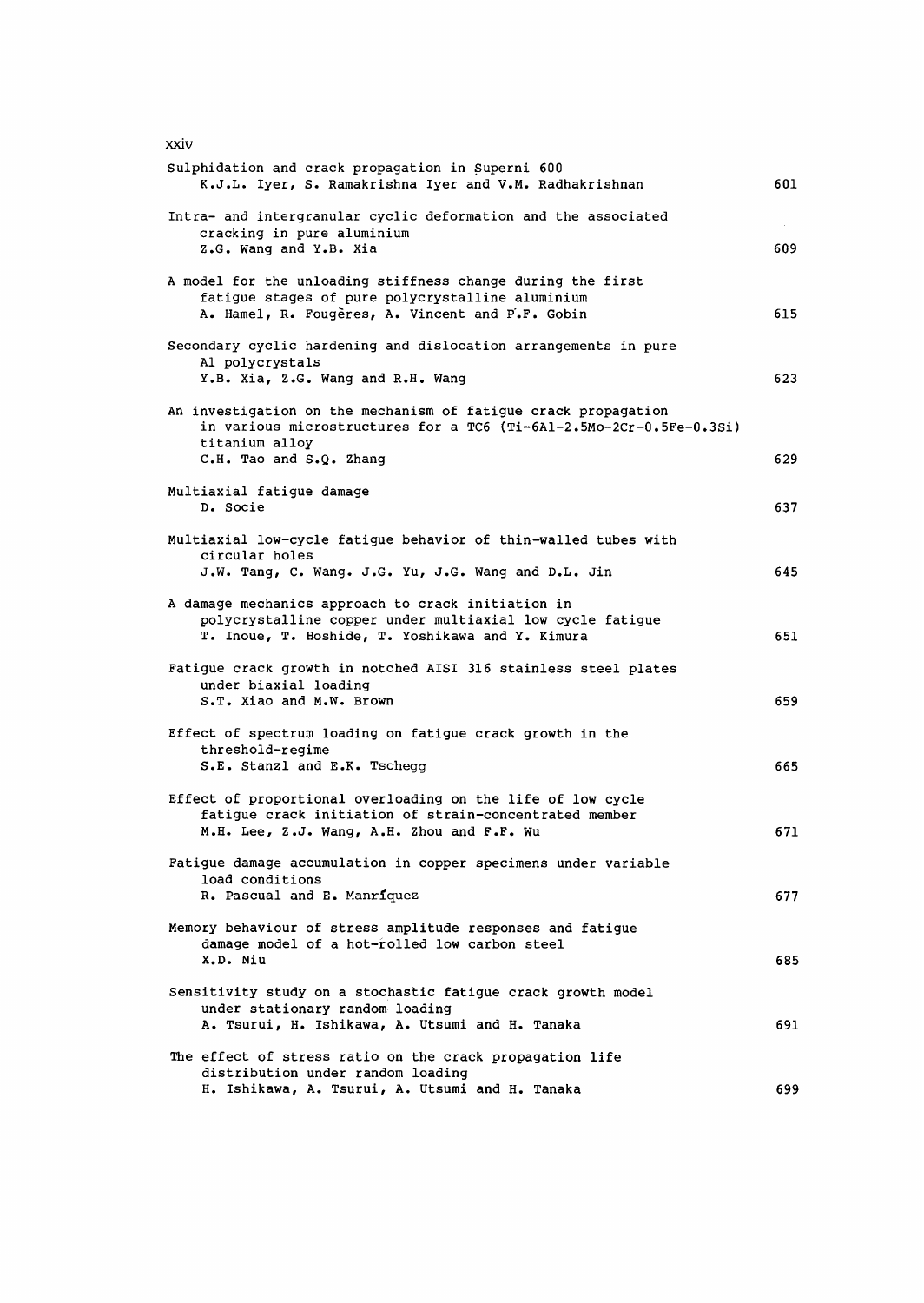| xxiv                                                                                                                                                                               |     |
|------------------------------------------------------------------------------------------------------------------------------------------------------------------------------------|-----|
| Sulphidation and crack propagation in Superni 600<br>K.J.L. Iyer, S. Ramakrishna Iyer and V.M. Radhakrishnan                                                                       | 601 |
| Intra- and intergranular cyclic deformation and the associated<br>cracking in pure aluminium<br>Z.G. Wang and Y.B. Xia                                                             | 609 |
| A model for the unloading stiffness change during the first<br>fatigue stages of pure polycrystalline aluminium<br>A. Hamel, R. Fougères, A. Vincent and P.F. Gobin                | 615 |
| Secondary cyclic hardening and dislocation arrangements in pure<br>Al polycrystals<br>Y.B. Xia, Z.G. Wang and R.H. Wang                                                            | 623 |
| An investigation on the mechanism of fatigue crack propagation<br>in various microstructures for a TC6 (Ti-6Al-2.5Mo-2Cr-0.5Fe-0.3Si)<br>titanium alloy<br>C.H. Tao and S.Q. Zhang | 629 |
| Multiaxial fatigue damage<br>D. Socie                                                                                                                                              | 637 |
| Multiaxial low-cycle fatigue behavior of thin-walled tubes with<br>circular holes<br>J.W. Tang, C. Wang. J.G. Yu, J.G. Wang and D.L. Jin                                           | 645 |
| A damage mechanics approach to crack initiation in<br>polycrystalline copper under multiaxial low cycle fatigue<br>T. Inoue, T. Hoshide, T. Yoshikawa and Y. Kimura                | 651 |
| Fatigue crack growth in notched AISI 316 stainless steel plates<br>under biaxial loading<br>S.T. Xiao and M.W. Brown                                                               | 659 |
| Effect of spectrum loading on fatigue crack growth in the<br>threshold-regime<br>S.E. Stanzl and E.K. Tschegg                                                                      | 665 |
| Effect of proportional overloading on the life of low cycle<br>fatigue crack initiation of strain-concentrated member<br>M.H. Lee, Z.J. Wang, A.H. Zhou and F.F. Wu                | 671 |
| Fatigue damage accumulation in copper specimens under variable<br>load conditions<br>R. Pascual and E. Manriquez                                                                   | 677 |
| Memory behaviour of stress amplitude responses and fatigue<br>damage model of a hot-rolled low carbon steel<br>X.D. Niu                                                            | 685 |
| Sensitivity study on a stochastic fatigue crack growth model<br>under stationary random loading<br>A. Tsurui, H. Ishikawa, A. Utsumi and H. Tanaka                                 | 691 |
| The effect of stress ratio on the crack propagation life<br>distribution under random loading<br>H. Ishikawa, A. Tsurui, A. Utsumi and H. Tanaka                                   | 699 |